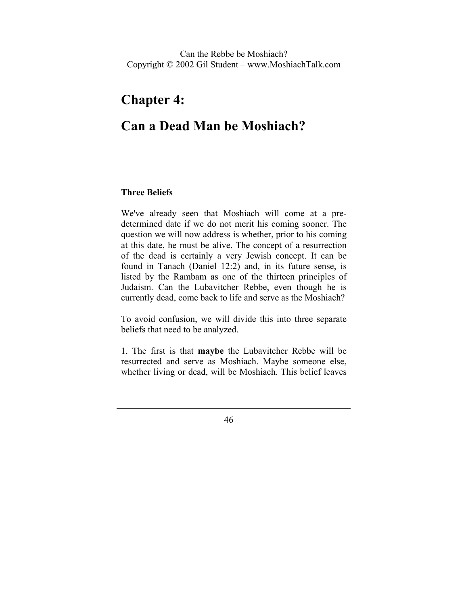# **Chapter 4:**

# **Can a Dead Man be Moshiach?**

### **Three Beliefs**

We've already seen that Moshiach will come at a predetermined date if we do not merit his coming sooner. The question we will now address is whether, prior to his coming at this date, he must be alive. The concept of a resurrection of the dead is certainly a very Jewish concept. It can be found in Tanach (Daniel 12:2) and, in its future sense, is listed by the Rambam as one of the thirteen principles of Judaism. Can the Lubavitcher Rebbe, even though he is currently dead, come back to life and serve as the Moshiach?

To avoid confusion, we will divide this into three separate beliefs that need to be analyzed.

1. The first is that **maybe** the Lubavitcher Rebbe will be resurrected and serve as Moshiach. Maybe someone else, whether living or dead, will be Moshiach. This belief leaves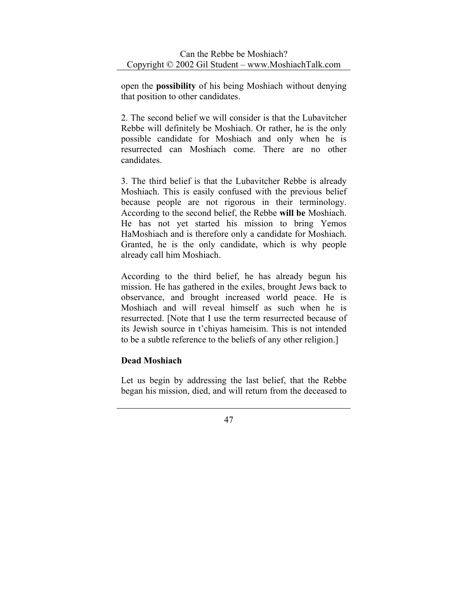open the **possibility** of his being Moshiach without denying that position to other candidates.

2. The second belief we will consider is that the Lubavitcher Rebbe will definitely be Moshiach. Or rather, he is the only possible candidate for Moshiach and only when he is resurrected can Moshiach come. There are no other candidates.

3. The third belief is that the Lubavitcher Rebbe is already Moshiach. This is easily confused with the previous belief because people are not rigorous in their terminology. According to the second belief, the Rebbe **will be** Moshiach. He has not yet started his mission to bring Yemos HaMoshiach and is therefore only a candidate for Moshiach. Granted, he is the only candidate, which is why people already call him Moshiach.

According to the third belief, he has already begun his mission. He has gathered in the exiles, brought Jews back to observance, and brought increased world peace. He is Moshiach and will reveal himself as such when he is resurrected. [Note that I use the term resurrected because of its Jewish source in t'chiyas hameisim. This is not intended to be a subtle reference to the beliefs of any other religion.]

# **Dead Moshiach**

Let us begin by addressing the last belief, that the Rebbe began his mission, died, and will return from the deceased to

<sup>47</sup>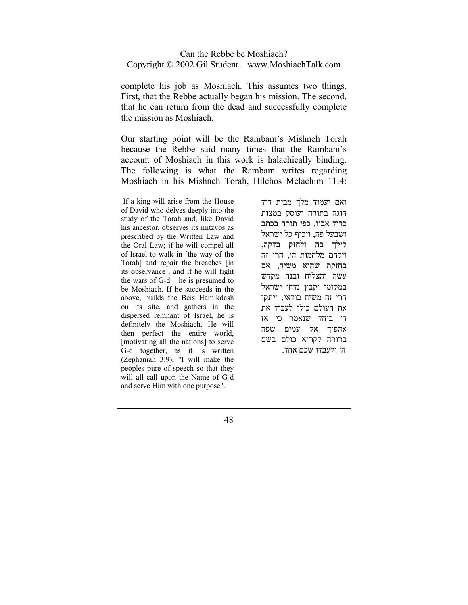complete his job as Moshiach. This assumes two things. First, that the Rebbe actually began his mission. The second, that he can return from the dead and successfully complete the mission as Moshiach.

Our starting point will be the Rambam's Mishneh Torah because the Rebbe said many times that the Rambam's account of Moshiach in this work is halachically binding. The following is what the Rambam writes regarding Moshiach in his Mishneh Torah, Hilchos Melachim 11:4:

 If a king will arise from the House of David who delves deeply into the study of the Torah and, like David his ancestor, observes its mitzvos as prescribed by the Written Law and the Oral Law; if he will compel all of Israel to walk in [the way of the Torah] and repair the breaches [in its observance]; and if he will fight the wars of  $G-d$  – he is presumed to be Moshiach. If he succeeds in the above, builds the Beis Hamikdash on its site, and gathers in the dispersed remnant of Israel, he is definitely the Moshiach. He will then perfect the entire world, [motivating all the nations] to serve G-d together, as it is written (Zephaniah 3:9), "I will make the peoples pure of speech so that they will all call upon the Name of G-d and serve Him with one purpose".

ואם יעמוד מלך מבית דוד הוגה בתורה ועוסק במצות כדוד אביו, כפי תורה בכתב ושבעל פה, ויכוף כל ישראל לילך בה ולחזק בדקה, וילחם מלחמות ה׳, הרי זה בחזקת שהוא משיח, אם עשה והצליח ובנה מקדש במקומו וקבץ נדחי ישראל הרי זה משיח בודאי, ויתקן את העולם כולו לעבוד את ה׳ ביחד שנאמר כי אז אהפוך אל עמים שפה ברורה לקרוא כולם בשם ה׳ ולעבדו שכם אחד.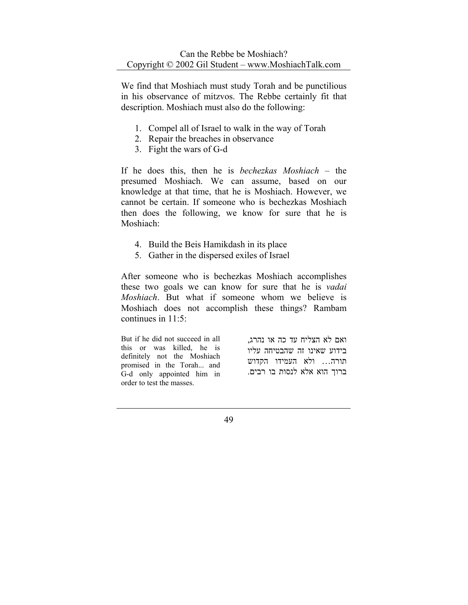We find that Moshiach must study Torah and be punctilious in his observance of mitzvos. The Rebbe certainly fit that description. Moshiach must also do the following:

- 1. Compel all of Israel to walk in the way of Torah
- 2. Repair the breaches in observance
- 3. Fight the wars of G-d

If he does this, then he is *bechezkas Moshiach* – the presumed Moshiach. We can assume, based on our knowledge at that time, that he is Moshiach. However, we cannot be certain. If someone who is bechezkas Moshiach then does the following, we know for sure that he is Moshiach:

- 4. Build the Beis Hamikdash in its place
- 5. Gather in the dispersed exiles of Israel

After someone who is bechezkas Moshiach accomplishes these two goals we can know for sure that he is *vadai Moshiach*. But what if someone whom we believe is Moshiach does not accomplish these things? Rambam continues in 11:5:

But if he did not succeed in all this or was killed, he is definitely not the Moshiach promised in the Torah... and G-d only appointed him in order to test the masses.

ואם לא הצליח עד כה או נהרג, בידוע שאינו זה שהבטיחה עליו תורה... ולא העמידו הקדוש ברוך הוא אלא לנסות בו רבים.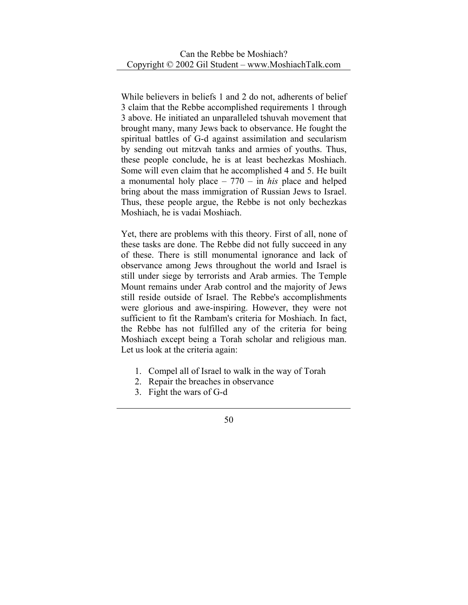While believers in beliefs 1 and 2 do not, adherents of belief 3 claim that the Rebbe accomplished requirements 1 through 3 above. He initiated an unparalleled tshuvah movement that brought many, many Jews back to observance. He fought the spiritual battles of G-d against assimilation and secularism by sending out mitzvah tanks and armies of youths. Thus, these people conclude, he is at least bechezkas Moshiach. Some will even claim that he accomplished 4 and 5. He built a monumental holy place – 770 – in *his* place and helped bring about the mass immigration of Russian Jews to Israel. Thus, these people argue, the Rebbe is not only bechezkas Moshiach, he is vadai Moshiach.

Yet, there are problems with this theory. First of all, none of these tasks are done. The Rebbe did not fully succeed in any of these. There is still monumental ignorance and lack of observance among Jews throughout the world and Israel is still under siege by terrorists and Arab armies. The Temple Mount remains under Arab control and the majority of Jews still reside outside of Israel. The Rebbe's accomplishments were glorious and awe-inspiring. However, they were not sufficient to fit the Rambam's criteria for Moshiach. In fact, the Rebbe has not fulfilled any of the criteria for being Moshiach except being a Torah scholar and religious man. Let us look at the criteria again:

- 1. Compel all of Israel to walk in the way of Torah
- 2. Repair the breaches in observance
- 3. Fight the wars of G-d
	- 50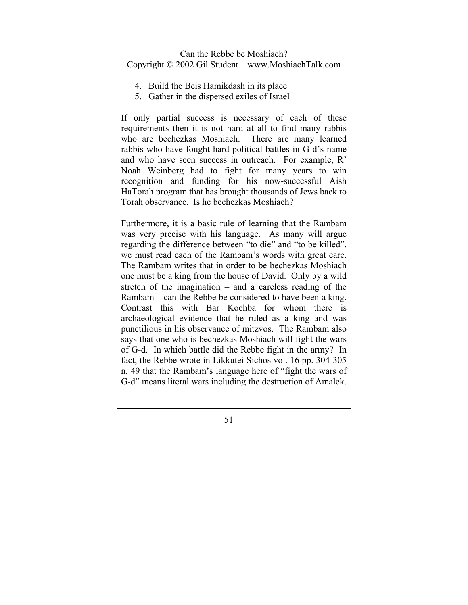- 4. Build the Beis Hamikdash in its place
- 5. Gather in the dispersed exiles of Israel

If only partial success is necessary of each of these requirements then it is not hard at all to find many rabbis who are bechezkas Moshiach. There are many learned rabbis who have fought hard political battles in G-d's name and who have seen success in outreach. For example, R' Noah Weinberg had to fight for many years to win recognition and funding for his now-successful Aish HaTorah program that has brought thousands of Jews back to Torah observance. Is he bechezkas Moshiach?

Furthermore, it is a basic rule of learning that the Rambam was very precise with his language. As many will argue regarding the difference between "to die" and "to be killed", we must read each of the Rambam's words with great care. The Rambam writes that in order to be bechezkas Moshiach one must be a king from the house of David. Only by a wild stretch of the imagination – and a careless reading of the Rambam – can the Rebbe be considered to have been a king. Contrast this with Bar Kochba for whom there is archaeological evidence that he ruled as a king and was punctilious in his observance of mitzvos. The Rambam also says that one who is bechezkas Moshiach will fight the wars of G-d. In which battle did the Rebbe fight in the army? In fact, the Rebbe wrote in Likkutei Sichos vol. 16 pp. 304-305 n. 49 that the Rambam's language here of "fight the wars of G-d" means literal wars including the destruction of Amalek.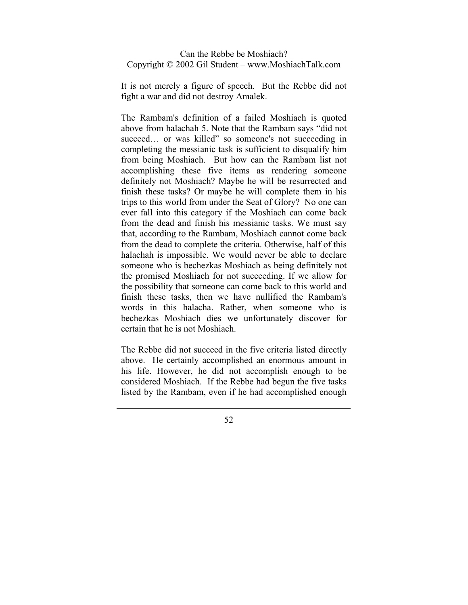It is not merely a figure of speech. But the Rebbe did not fight a war and did not destroy Amalek.

The Rambam's definition of a failed Moshiach is quoted above from halachah 5. Note that the Rambam says "did not succeed... or was killed" so someone's not succeeding in completing the messianic task is sufficient to disqualify him from being Moshiach. But how can the Rambam list not accomplishing these five items as rendering someone definitely not Moshiach? Maybe he will be resurrected and finish these tasks? Or maybe he will complete them in his trips to this world from under the Seat of Glory? No one can ever fall into this category if the Moshiach can come back from the dead and finish his messianic tasks. We must say that, according to the Rambam, Moshiach cannot come back from the dead to complete the criteria. Otherwise, half of this halachah is impossible. We would never be able to declare someone who is bechezkas Moshiach as being definitely not the promised Moshiach for not succeeding. If we allow for the possibility that someone can come back to this world and finish these tasks, then we have nullified the Rambam's words in this halacha. Rather, when someone who is bechezkas Moshiach dies we unfortunately discover for certain that he is not Moshiach.

The Rebbe did not succeed in the five criteria listed directly above. He certainly accomplished an enormous amount in his life. However, he did not accomplish enough to be considered Moshiach. If the Rebbe had begun the five tasks listed by the Rambam, even if he had accomplished enough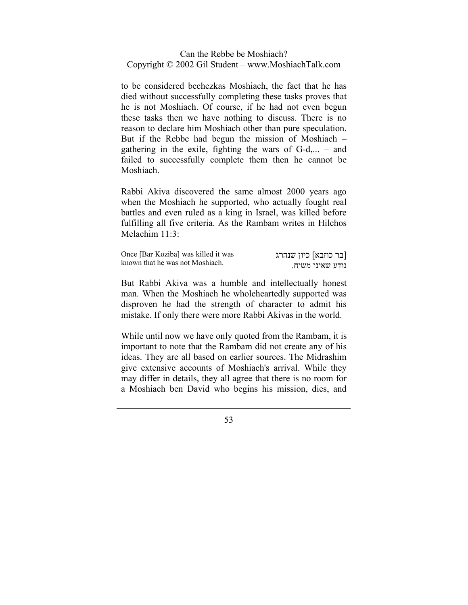to be considered bechezkas Moshiach, the fact that he has died without successfully completing these tasks proves that he is not Moshiach. Of course, if he had not even begun these tasks then we have nothing to discuss. There is no reason to declare him Moshiach other than pure speculation. But if the Rebbe had begun the mission of Moshiach – gathering in the exile, fighting the wars of  $G-d,... -$  and failed to successfully complete them then he cannot be Moshiach.

Rabbi Akiva discovered the same almost 2000 years ago when the Moshiach he supported, who actually fought real battles and even ruled as a king in Israel, was killed before fulfilling all five criteria. As the Rambam writes in Hilchos Melachim 11:3:

| Once [Bar Koziba] was killed it was<br>known that he was not Moshiach. | [בר כוזבא] כיון שנהרג |
|------------------------------------------------------------------------|-----------------------|
|                                                                        | נודע שאינו משיח.      |

But Rabbi Akiva was a humble and intellectually honest man. When the Moshiach he wholeheartedly supported was disproven he had the strength of character to admit his mistake. If only there were more Rabbi Akivas in the world.

While until now we have only quoted from the Rambam, it is important to note that the Rambam did not create any of his ideas. They are all based on earlier sources. The Midrashim give extensive accounts of Moshiach's arrival. While they may differ in details, they all agree that there is no room for a Moshiach ben David who begins his mission, dies, and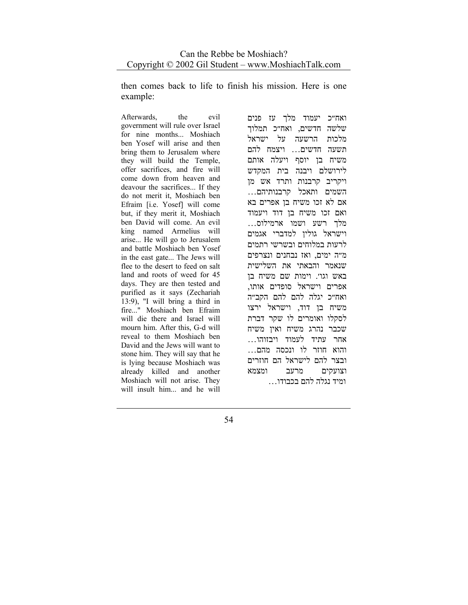then comes back to life to finish his mission. Here is one example:

Afterwards, the evil government will rule over Israel for nine months... Moshiach ben Yosef will arise and then bring them to Jerusalem where they will build the Temple, offer sacrifices, and fire will come down from heaven and deavour the sacrifices... If they do not merit it, Moshiach ben Efraim [i.e. Yosef] will come but, if they merit it, Moshiach ben David will come. An evil king named Armelius will arise... He will go to Jerusalem and battle Moshiach ben Yosef in the east gate... The Jews will flee to the desert to feed on salt land and roots of weed for 45 days. They are then tested and purified as it says (Zechariah 13:9), "I will bring a third in fire..." Moshiach ben Efraim will die there and Israel will mourn him. After this, G-d will reveal to them Moshiach ben David and the Jews will want to stone him. They will say that he is lying because Moshiach was already killed and another Moshiach will not arise. They will insult him... and he will

ואח״כ יעמוד מלך עז פנים שלשה חדשים, ואח״כ תמלוך מלכות הרשעה על ישראל תשעה חדשים... ויצמח להם משיח בן יוסף ויעלה אותם לירושלם ויבנה בית המקדש ויקריב קרבנות ותרד אש מן השמים ותאכל קרבנותיהם... אם לא זכו משיח בן אפרים בא ואם זכו משיח בן דוד ויעמוד מלך רשע ושמו ארמילוס... וישראל גולין למדברי אגמים לרעות במלוחים ובשרשי רתמים מ״ה ימים, ואז נבחנים ונצרפים שנאמר והבאתי את השלישית באש וגו׳. וימות שם משיח בן אפרים וישראל סופדים אותו, ואח״כ יגלה להם להם הקב״ה משיח בן דוד, וישראל ירצו לסקלו ואומרים לו שקר דברת שכבר נהרג משיח ואין משיח אחר עתיד לעמוד ויבזוהו... והוא חוזר לו ונכסה מהם... ובצר להם לישראל הם חוזרים וצועקים מרעב ומצמא ומיד נגלה להם בכבודו...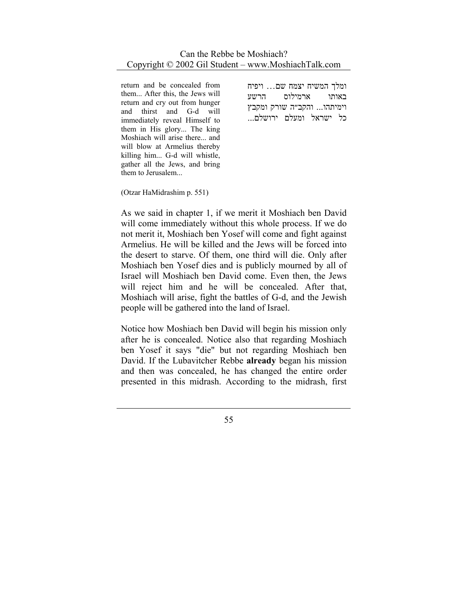return and be concealed from them... After this, the Jews will return and cry out from hunger and thirst and G-d will immediately reveal Himself to them in His glory... The king Moshiach will arise there... and will blow at Armelius thereby killing him... G-d will whistle, gather all the Jews, and bring them to Jerusalem...

ומלך המשיח יצמח שם... ויפיח באותו ארמילוס הרשע וימיתהו... והקב״ה שורק ומקבץ כל ישראל ומעלם ירושלם...

(Otzar HaMidrashim p. 551)

As we said in chapter 1, if we merit it Moshiach ben David will come immediately without this whole process. If we do not merit it, Moshiach ben Yosef will come and fight against Armelius. He will be killed and the Jews will be forced into the desert to starve. Of them, one third will die. Only after Moshiach ben Yosef dies and is publicly mourned by all of Israel will Moshiach ben David come. Even then, the Jews will reject him and he will be concealed. After that, Moshiach will arise, fight the battles of G-d, and the Jewish people will be gathered into the land of Israel.

Notice how Moshiach ben David will begin his mission only after he is concealed. Notice also that regarding Moshiach ben Yosef it says "die" but not regarding Moshiach ben David. If the Lubavitcher Rebbe **already** began his mission and then was concealed, he has changed the entire order presented in this midrash. According to the midrash, first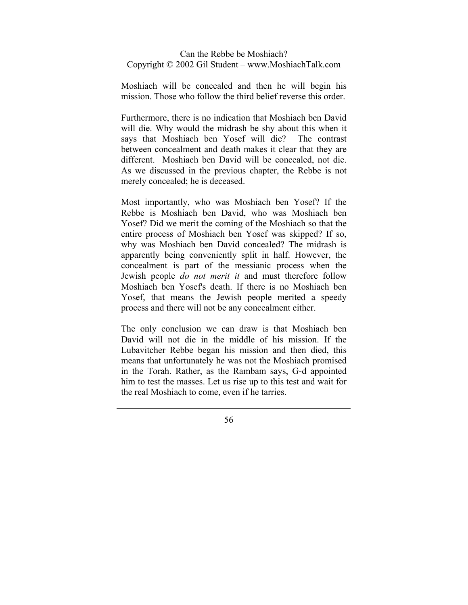Moshiach will be concealed and then he will begin his mission. Those who follow the third belief reverse this order.

Furthermore, there is no indication that Moshiach ben David will die. Why would the midrash be shy about this when it says that Moshiach ben Yosef will die? The contrast between concealment and death makes it clear that they are different. Moshiach ben David will be concealed, not die. As we discussed in the previous chapter, the Rebbe is not merely concealed; he is deceased.

Most importantly, who was Moshiach ben Yosef? If the Rebbe is Moshiach ben David, who was Moshiach ben Yosef? Did we merit the coming of the Moshiach so that the entire process of Moshiach ben Yosef was skipped? If so, why was Moshiach ben David concealed? The midrash is apparently being conveniently split in half. However, the concealment is part of the messianic process when the Jewish people *do not merit it* and must therefore follow Moshiach ben Yosef's death. If there is no Moshiach ben Yosef, that means the Jewish people merited a speedy process and there will not be any concealment either.

The only conclusion we can draw is that Moshiach ben David will not die in the middle of his mission. If the Lubavitcher Rebbe began his mission and then died, this means that unfortunately he was not the Moshiach promised in the Torah. Rather, as the Rambam says, G-d appointed him to test the masses. Let us rise up to this test and wait for the real Moshiach to come, even if he tarries.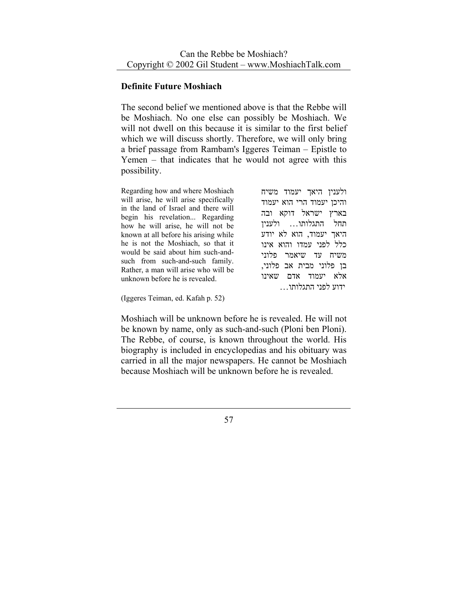#### **Definite Future Moshiach**

The second belief we mentioned above is that the Rebbe will be Moshiach. No one else can possibly be Moshiach. We will not dwell on this because it is similar to the first belief which we will discuss shortly. Therefore, we will only bring a brief passage from Rambam's Iggeres Teiman – Epistle to Yemen – that indicates that he would not agree with this possibility.

Regarding how and where Moshiach will arise, he will arise specifically in the land of Israel and there will begin his revelation... Regarding how he will arise, he will not be known at all before his arising while he is not the Moshiach, so that it would be said about him such-andsuch from such-and-such family. Rather, a man will arise who will be unknown before he is revealed.

ולענין היאך יעמוד משיח והיכן יעמוד הרי הוא יעמוד בארץ ישראל דוקא ובה תחל התגלותו... ולענין היאך יעמוד, הוא לא יודע כלל לפני עמדו והוא אינו משיח עד שיאמר פלוני בן פלוני מבית אב פלוני, אלא יעמוד אדם שאינו ידוע לפני התגלותו...

(Iggeres Teiman, ed. Kafah p. 52)

Moshiach will be unknown before he is revealed. He will not be known by name, only as such-and-such (Ploni ben Ploni). The Rebbe, of course, is known throughout the world. His biography is included in encyclopedias and his obituary was carried in all the major newspapers. He cannot be Moshiach because Moshiach will be unknown before he is revealed.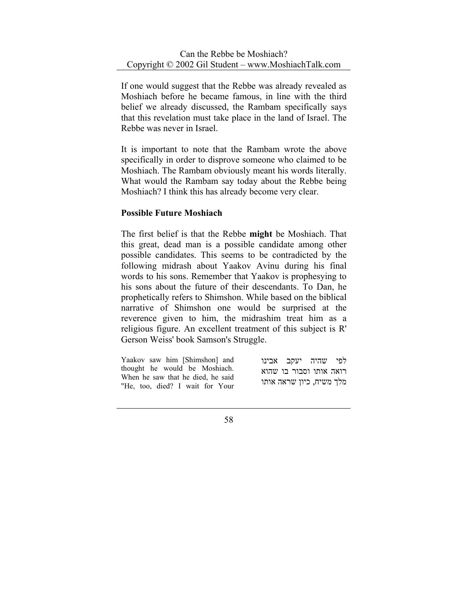If one would suggest that the Rebbe was already revealed as Moshiach before he became famous, in line with the third belief we already discussed, the Rambam specifically says that this revelation must take place in the land of Israel. The Rebbe was never in Israel.

It is important to note that the Rambam wrote the above specifically in order to disprove someone who claimed to be Moshiach. The Rambam obviously meant his words literally. What would the Rambam say today about the Rebbe being Moshiach? I think this has already become very clear.

### **Possible Future Moshiach**

The first belief is that the Rebbe **might** be Moshiach. That this great, dead man is a possible candidate among other possible candidates. This seems to be contradicted by the following midrash about Yaakov Avinu during his final words to his sons. Remember that Yaakov is prophesying to his sons about the future of their descendants. To Dan, he prophetically refers to Shimshon. While based on the biblical narrative of Shimshon one would be surprised at the reverence given to him, the midrashim treat him as a religious figure. An excellent treatment of this subject is R' Gerson Weiss' book Samson's Struggle.

| Yaakov saw him [Shimshon] and                                      | לפי שהיה יעקב אבינו      |  |
|--------------------------------------------------------------------|--------------------------|--|
| thought he would be Moshiach.<br>When he saw that he died, he said | רואה אותו וסבור בו שהוא  |  |
| "He, too, died? I wait for Your                                    | מלך משיח, כיון שראה אותו |  |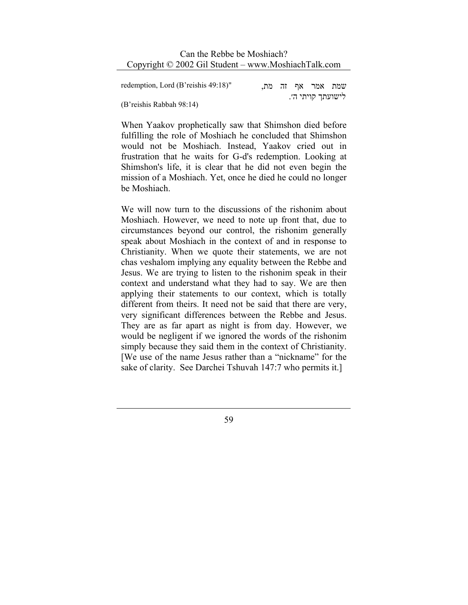| redemption, Lord (B'reishis 49:18)" |  | שמת אמר אף זה מת, |  |
|-------------------------------------|--|-------------------|--|
| (B'reishis Rabbah 98:14)            |  | לישועתך קויתי ה׳. |  |

When Yaakov prophetically saw that Shimshon died before fulfilling the role of Moshiach he concluded that Shimshon would not be Moshiach. Instead, Yaakov cried out in frustration that he waits for G-d's redemption. Looking at Shimshon's life, it is clear that he did not even begin the mission of a Moshiach. Yet, once he died he could no longer be Moshiach.

We will now turn to the discussions of the rishonim about Moshiach. However, we need to note up front that, due to circumstances beyond our control, the rishonim generally speak about Moshiach in the context of and in response to Christianity. When we quote their statements, we are not chas veshalom implying any equality between the Rebbe and Jesus. We are trying to listen to the rishonim speak in their context and understand what they had to say. We are then applying their statements to our context, which is totally different from theirs. It need not be said that there are very, very significant differences between the Rebbe and Jesus. They are as far apart as night is from day. However, we would be negligent if we ignored the words of the rishonim simply because they said them in the context of Christianity. [We use of the name Jesus rather than a "nickname" for the sake of clarity. See Darchei Tshuvah 147:7 who permits it.]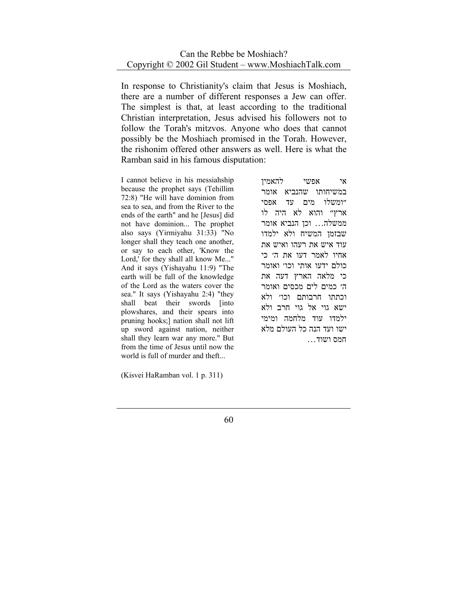In response to Christianity's claim that Jesus is Moshiach, there are a number of different responses a Jew can offer. The simplest is that, at least according to the traditional Christian interpretation, Jesus advised his followers not to follow the Torah's mitzvos. Anyone who does that cannot possibly be the Moshiach promised in the Torah. However, the rishonim offered other answers as well. Here is what the Ramban said in his famous disputation:

I cannot believe in his messiahship because the prophet says (Tehillim 72:8) "He will have dominion from sea to sea, and from the River to the ends of the earth" and he [Jesus] did not have dominion... The prophet also says (Yirmiyahu 31:33) "No longer shall they teach one another, or say to each other, 'Know the Lord,' for they shall all know Me..." And it says (Yishayahu 11:9) "The earth will be full of the knowledge of the Lord as the waters cover the sea." It says (Yishayahu 2:4) "they shall beat their swords [into plowshares, and their spears into pruning hooks;] nation shall not lift up sword against nation, neither shall they learn war any more." But from the time of Jesus until now the world is full of murder and theft...

(Kisvei HaRamban vol. 1 p. 311)

אי אפשי להאמין במשיחותו שהנביא אומר ״ומשלו מים עד אפסי ארץ״ והוא לא היה לו ממשלה... וכן הנביא אומר שבזמן המשיח ולא ילמדו עוד איש את רעהו ואיש את אחיו לאמר דעו את ה׳ כי כולם ידעו אותי וכו׳ ואומר כי מלאה הארץ דעה את ה׳ כמים לים מכסים ואומר וכתתו חרבותם וכו׳ ולא ישא גוי אל גוי חרב ולא ילמדו עוד מלחמה ומימי ישו ועד הנה כל העולם מלא חמס ושוד...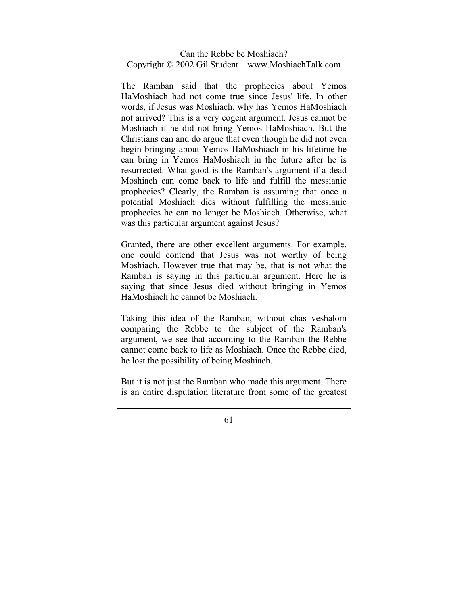The Ramban said that the prophecies about Yemos HaMoshiach had not come true since Jesus' life. In other words, if Jesus was Moshiach, why has Yemos HaMoshiach not arrived? This is a very cogent argument. Jesus cannot be Moshiach if he did not bring Yemos HaMoshiach. But the Christians can and do argue that even though he did not even begin bringing about Yemos HaMoshiach in his lifetime he can bring in Yemos HaMoshiach in the future after he is resurrected. What good is the Ramban's argument if a dead Moshiach can come back to life and fulfill the messianic prophecies? Clearly, the Ramban is assuming that once a potential Moshiach dies without fulfilling the messianic prophecies he can no longer be Moshiach. Otherwise, what was this particular argument against Jesus?

Granted, there are other excellent arguments. For example, one could contend that Jesus was not worthy of being Moshiach. However true that may be, that is not what the Ramban is saying in this particular argument. Here he is saying that since Jesus died without bringing in Yemos HaMoshiach he cannot be Moshiach.

Taking this idea of the Ramban, without chas veshalom comparing the Rebbe to the subject of the Ramban's argument, we see that according to the Ramban the Rebbe cannot come back to life as Moshiach. Once the Rebbe died, he lost the possibility of being Moshiach.

But it is not just the Ramban who made this argument. There is an entire disputation literature from some of the greatest

<sup>61</sup>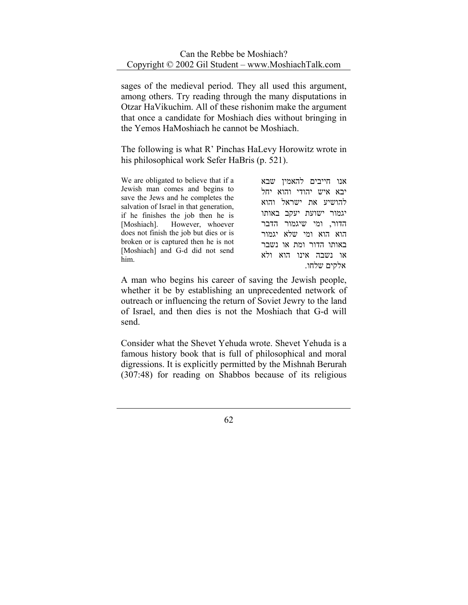sages of the medieval period. They all used this argument, among others. Try reading through the many disputations in Otzar HaVikuchim. All of these rishonim make the argument that once a candidate for Moshiach dies without bringing in the Yemos HaMoshiach he cannot be Moshiach.

The following is what R' Pinchas HaLevy Horowitz wrote in his philosophical work Sefer HaBris (p. 521).

| We are obligated to believe that if a<br>Jewish man comes and begins to<br>save the Jews and he completes the<br>salvation of Israel in that generation,<br>if he finishes the job then he is<br>[Moshiach]. However, whoever<br>does not finish the job but dies or is<br>broken or is captured then he is not<br>[Moshiach] and G-d did not send<br>him. | אנו חייבים להאמין שבא<br>יבא איש יהודי והוא יחל<br>להושיע את ישראל והוא<br>יגמור ישועת יעקב באותו<br>הדור, ומי שיגמור הדבר<br>הוא הוא ומי שלא יגמור<br>באותו הדור ומת או נשבר<br>או נשבה אינו הוא ולא |
|------------------------------------------------------------------------------------------------------------------------------------------------------------------------------------------------------------------------------------------------------------------------------------------------------------------------------------------------------------|-------------------------------------------------------------------------------------------------------------------------------------------------------------------------------------------------------|
|                                                                                                                                                                                                                                                                                                                                                            | אלקים שלחו.                                                                                                                                                                                           |

A man who begins his career of saving the Jewish people, whether it be by establishing an unprecedented network of outreach or influencing the return of Soviet Jewry to the land of Israel, and then dies is not the Moshiach that G-d will send.

Consider what the Shevet Yehuda wrote. Shevet Yehuda is a famous history book that is full of philosophical and moral digressions. It is explicitly permitted by the Mishnah Berurah (307:48) for reading on Shabbos because of its religious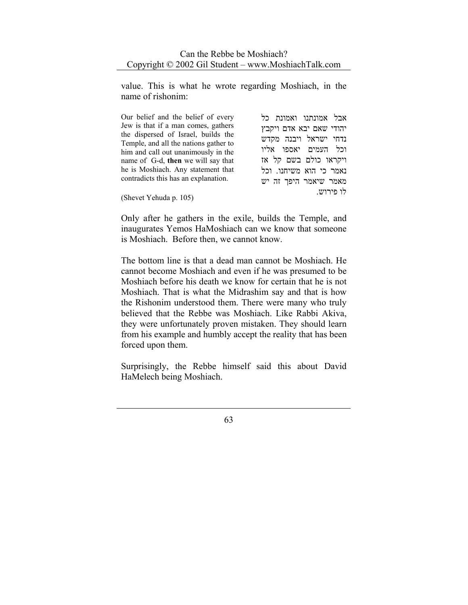value. This is what he wrote regarding Moshiach, in the name of rishonim:

| Our belief and the belief of every                                                                                                                         | אבל אמונתנו ואמונת כל                                                     |
|------------------------------------------------------------------------------------------------------------------------------------------------------------|---------------------------------------------------------------------------|
| Jew is that if a man comes, gathers<br>the dispersed of Israel, builds the<br>Temple, and all the nations gather to<br>him and call out unanimously in the | יהודי שאם יבא אדם ויקבץ<br>נדחי ישראל ויבנה מקדש<br>וכל העמים יאספו אליו  |
| name of G-d, then we will say that<br>he is Moshiach. Any statement that<br>contradicts this has an explanation.                                           | ויקראו כולם בשם קל אז<br>נאמר כי הוא משיחנו. וכל<br>מאמר שיאמר היפך זה יש |
| (Shevet Yehuda p. 105)                                                                                                                                     | לו פירוש.                                                                 |

Only after he gathers in the exile, builds the Temple, and inaugurates Yemos HaMoshiach can we know that someone is Moshiach. Before then, we cannot know.

The bottom line is that a dead man cannot be Moshiach. He cannot become Moshiach and even if he was presumed to be Moshiach before his death we know for certain that he is not Moshiach. That is what the Midrashim say and that is how the Rishonim understood them. There were many who truly believed that the Rebbe was Moshiach. Like Rabbi Akiva, they were unfortunately proven mistaken. They should learn from his example and humbly accept the reality that has been forced upon them.

Surprisingly, the Rebbe himself said this about David HaMelech being Moshiach.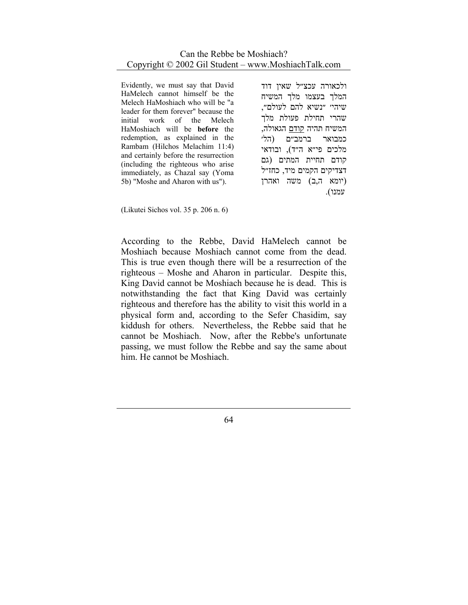Evidently, we must say that David HaMelech cannot himself be the Melech HaMoshiach who will be "a leader for them forever" because the initial work of the Melech HaMoshiach will be **before** the redemption, as explained in the Rambam (Hilchos Melachim 11:4) and certainly before the resurrection (including the righteous who arise immediately, as Chazal say (Yoma 5b) "Moshe and Aharon with us").

ולכאורה עכצ״ל שאין דוד המלך בעצמו מלך המשיח שיהי׳ ״נשיא להם לעולם״, שהרי תחילת פעולת מלך המשיח תהיה קודם הגאולה, כמבואר ברמב״ם (הל׳ מלכים פי״א ה״ד), ובודאי קודם תחײת המתים (גם דצדיקים הקמים מיד, כחז״ל (יומא ה,ב) משה ואהרן עמנו).

(Likutei Sichos vol. 35 p. 206 n. 6)

According to the Rebbe, David HaMelech cannot be Moshiach because Moshiach cannot come from the dead. This is true even though there will be a resurrection of the righteous – Moshe and Aharon in particular. Despite this, King David cannot be Moshiach because he is dead. This is notwithstanding the fact that King David was certainly righteous and therefore has the ability to visit this world in a physical form and, according to the Sefer Chasidim, say kiddush for others. Nevertheless, the Rebbe said that he cannot be Moshiach. Now, after the Rebbe's unfortunate passing, we must follow the Rebbe and say the same about him. He cannot be Moshiach.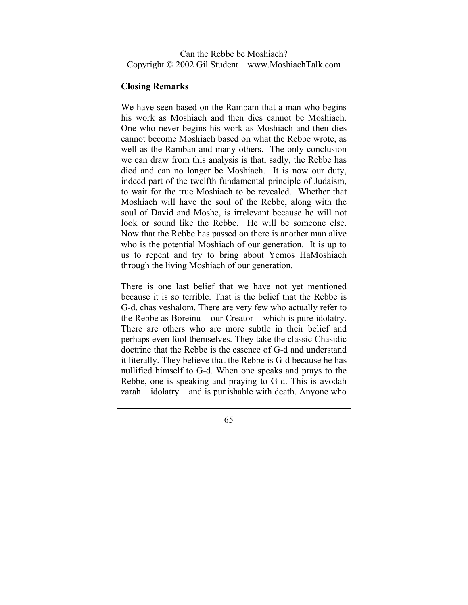# **Closing Remarks**

We have seen based on the Rambam that a man who begins his work as Moshiach and then dies cannot be Moshiach. One who never begins his work as Moshiach and then dies cannot become Moshiach based on what the Rebbe wrote, as well as the Ramban and many others. The only conclusion we can draw from this analysis is that, sadly, the Rebbe has died and can no longer be Moshiach. It is now our duty, indeed part of the twelfth fundamental principle of Judaism, to wait for the true Moshiach to be revealed. Whether that Moshiach will have the soul of the Rebbe, along with the soul of David and Moshe, is irrelevant because he will not look or sound like the Rebbe. He will be someone else. Now that the Rebbe has passed on there is another man alive who is the potential Moshiach of our generation. It is up to us to repent and try to bring about Yemos HaMoshiach through the living Moshiach of our generation.

There is one last belief that we have not yet mentioned because it is so terrible. That is the belief that the Rebbe is G-d, chas veshalom. There are very few who actually refer to the Rebbe as Boreinu – our Creator – which is pure idolatry. There are others who are more subtle in their belief and perhaps even fool themselves. They take the classic Chasidic doctrine that the Rebbe is the essence of G-d and understand it literally. They believe that the Rebbe is G-d because he has nullified himself to G-d. When one speaks and prays to the Rebbe, one is speaking and praying to G-d. This is avodah zarah – idolatry – and is punishable with death. Anyone who